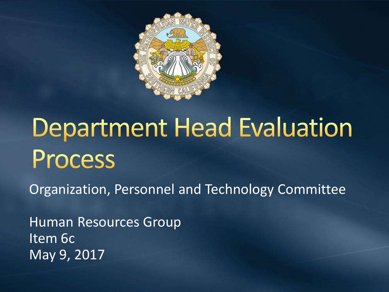

## **Department Head Evaluation** Process

Organization, Personnel and Technology Committee

Human Resources Group Item 6c May 9, 2017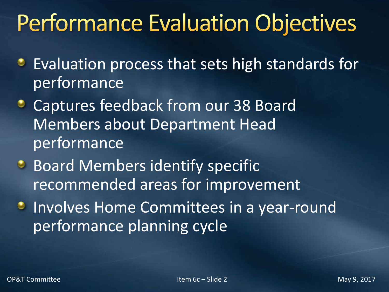### **Performance Evaluation Objectives**

- **Evaluation process that sets high standards for** performance
- **Captures feedback from our 38 Board** Members about Department Head performance
- **Board Members identify specific** recommended areas for improvement
- **Involves Home Committees in a year-round** performance planning cycle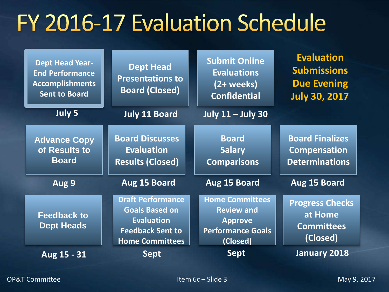#### FY 2016-17 Evaluation Schedule

| <b>Dept Head Year-</b><br><b>End Performance</b><br><b>Accomplishments</b><br><b>Sent to Board</b> | <b>Dept Head</b><br><b>Presentations to</b><br><b>Board (Closed)</b>                                                        | <b>Submit Online</b><br><b>Evaluations</b><br>$(2 + weeks)$<br><b>Confidential</b>                    | <b>Evaluation</b><br><b>Submissions</b><br><b>Due Evening</b><br><b>July 30, 2017</b> |
|----------------------------------------------------------------------------------------------------|-----------------------------------------------------------------------------------------------------------------------------|-------------------------------------------------------------------------------------------------------|---------------------------------------------------------------------------------------|
| July 5                                                                                             | <b>July 11 Board</b>                                                                                                        | <b>July 11 - July 30</b>                                                                              |                                                                                       |
| <b>Advance Copy</b><br>of Results to<br><b>Board</b>                                               | <b>Board Discusses</b><br><b>Evaluation</b><br><b>Results (Closed)</b>                                                      | <b>Board</b><br><b>Salary</b><br><b>Comparisons</b>                                                   | <b>Board Finalizes</b><br><b>Compensation</b><br><b>Determinations</b>                |
| Aug 9                                                                                              | Aug 15 Board                                                                                                                | Aug 15 Board                                                                                          | Aug 15 Board                                                                          |
| <b>Feedback to</b><br><b>Dept Heads</b>                                                            | <b>Draft Performance</b><br><b>Goals Based on</b><br><b>Evaluation</b><br><b>Feedback Sent to</b><br><b>Home Committees</b> | <b>Home Committees</b><br><b>Review and</b><br><b>Approve</b><br><b>Performance Goals</b><br>(Closed) | <b>Progress Checks</b><br>at Home<br><b>Committees</b><br>(Closed)                    |
| Aug 15 - 31                                                                                        | <b>Sept</b>                                                                                                                 | <b>Sept</b>                                                                                           | <b>January 2018</b>                                                                   |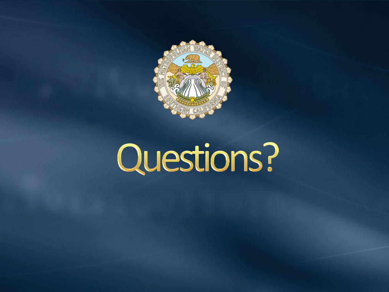

# Questions?